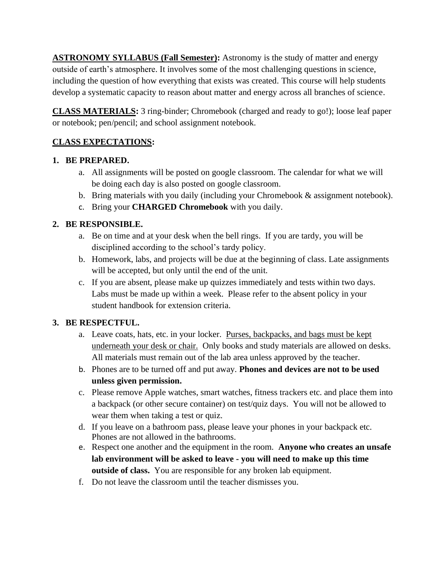**ASTRONOMY SYLLABUS (Fall Semester):** Astronomy is the study of matter and energy outside of earth's atmosphere. It involves some of the most challenging questions in science, including the question of how everything that exists was created. This course will help students develop a systematic capacity to reason about matter and energy across all branches of science.

**CLASS MATERIALS:** 3 ring-binder; Chromebook (charged and ready to go!); loose leaf paper or notebook; pen/pencil; and school assignment notebook.

# **CLASS EXPECTATIONS:**

## **1. BE PREPARED.**

- a. All assignments will be posted on google classroom. The calendar for what we will be doing each day is also posted on google classroom.
- b. Bring materials with you daily (including your Chromebook & assignment notebook).
- c. Bring your **CHARGED Chromebook** with you daily.

# **2. BE RESPONSIBLE.**

- a. Be on time and at your desk when the bell rings. If you are tardy, you will be disciplined according to the school's tardy policy.
- b. Homework, labs, and projects will be due at the beginning of class. Late assignments will be accepted, but only until the end of the unit.
- c. If you are absent, please make up quizzes immediately and tests within two days. Labs must be made up within a week. Please refer to the absent policy in your student handbook for extension criteria.

### **3. BE RESPECTFUL.**

- a. Leave coats, hats, etc. in your locker. Purses, backpacks, and bags must be kept underneath your desk or chair. Only books and study materials are allowed on desks. All materials must remain out of the lab area unless approved by the teacher.
- b. Phones are to be turned off and put away. **Phones and devices are not to be used unless given permission.**
- c. Please remove Apple watches, smart watches, fitness trackers etc. and place them into a backpack (or other secure container) on test/quiz days. You will not be allowed to wear them when taking a test or quiz.
- d. If you leave on a bathroom pass, please leave your phones in your backpack etc. Phones are not allowed in the bathrooms.
- e. Respect one another and the equipment in the room. **Anyone who creates an unsafe lab environment will be asked to leave - you will need to make up this time outside of class.** You are responsible for any broken lab equipment.
- f. Do not leave the classroom until the teacher dismisses you.